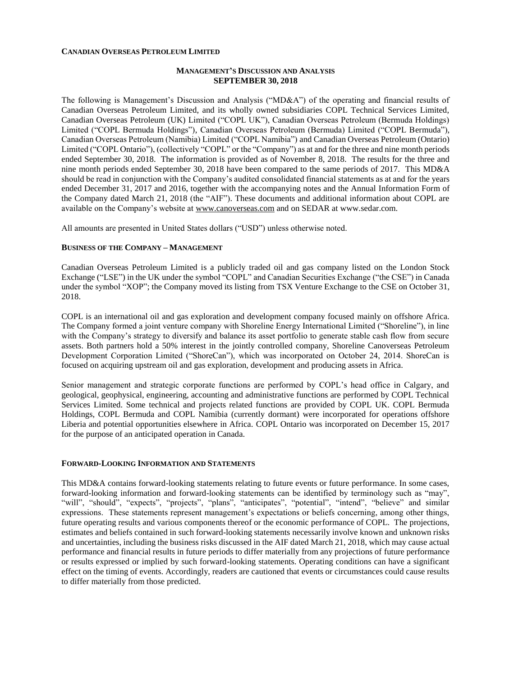#### **CANADIAN OVERSEAS PETROLEUM LIMITED**

## **MANAGEMENT'S DISCUSSION AND ANALYSIS SEPTEMBER 30, 2018**

The following is Management's Discussion and Analysis ("MD&A") of the operating and financial results of Canadian Overseas Petroleum Limited, and its wholly owned subsidiaries COPL Technical Services Limited, Canadian Overseas Petroleum (UK) Limited ("COPL UK"), Canadian Overseas Petroleum (Bermuda Holdings) Limited ("COPL Bermuda Holdings"), Canadian Overseas Petroleum (Bermuda) Limited ("COPL Bermuda"), Canadian Overseas Petroleum (Namibia) Limited ("COPL Namibia") and Canadian Overseas Petroleum (Ontario) Limited ("COPL Ontario"), (collectively "COPL" or the "Company") as at and for the three and nine month periods ended September 30, 2018. The information is provided as of November 8, 2018. The results for the three and nine month periods ended September 30, 2018 have been compared to the same periods of 2017. This MD&A should be read in conjunction with the Company's audited consolidated financial statements as at and for the years ended December 31, 2017 and 2016, together with the accompanying notes and the Annual Information Form of the Company dated March 21, 2018 (the "AIF"). These documents and additional information about COPL are available on the Company's website at [www.canoverseas.com](http://www.canoverseas.com/) and on SEDAR at [www.sedar.com.](http://www.sedar.com/)

All amounts are presented in United States dollars ("USD") unless otherwise noted.

#### **BUSINESS OF THE COMPANY – MANAGEMENT**

Canadian Overseas Petroleum Limited is a publicly traded oil and gas company listed on the London Stock Exchange ("LSE") in the UK under the symbol "COPL" and Canadian Securities Exchange ("the CSE") in Canada under the symbol "XOP"; the Company moved its listing from TSX Venture Exchange to the CSE on October 31, 2018.

COPL is an international oil and gas exploration and development company focused mainly on offshore Africa. The Company formed a joint venture company with Shoreline Energy International Limited ("Shoreline"), in line with the Company's strategy to diversify and balance its asset portfolio to generate stable cash flow from secure assets. Both partners hold a 50% interest in the jointly controlled company, Shoreline Canoverseas Petroleum Development Corporation Limited ("ShoreCan"), which was incorporated on October 24, 2014. ShoreCan is focused on acquiring upstream oil and gas exploration, development and producing assets in Africa.

Senior management and strategic corporate functions are performed by COPL's head office in Calgary, and geological, geophysical, engineering, accounting and administrative functions are performed by COPL Technical Services Limited. Some technical and projects related functions are provided by COPL UK. COPL Bermuda Holdings, COPL Bermuda and COPL Namibia (currently dormant) were incorporated for operations offshore Liberia and potential opportunities elsewhere in Africa. COPL Ontario was incorporated on December 15, 2017 for the purpose of an anticipated operation in Canada.

### **FORWARD-LOOKING INFORMATION AND STATEMENTS**

This MD&A contains forward-looking statements relating to future events or future performance. In some cases, forward-looking information and forward-looking statements can be identified by terminology such as "may", "will", "should", "expects", "projects", "plans", "anticipates", "potential", "intend", "believe" and similar expressions. These statements represent management's expectations or beliefs concerning, among other things, future operating results and various components thereof or the economic performance of COPL. The projections, estimates and beliefs contained in such forward-looking statements necessarily involve known and unknown risks and uncertainties, including the business risks discussed in the AIF dated March 21, 2018, which may cause actual performance and financial results in future periods to differ materially from any projections of future performance or results expressed or implied by such forward-looking statements. Operating conditions can have a significant effect on the timing of events. Accordingly, readers are cautioned that events or circumstances could cause results to differ materially from those predicted.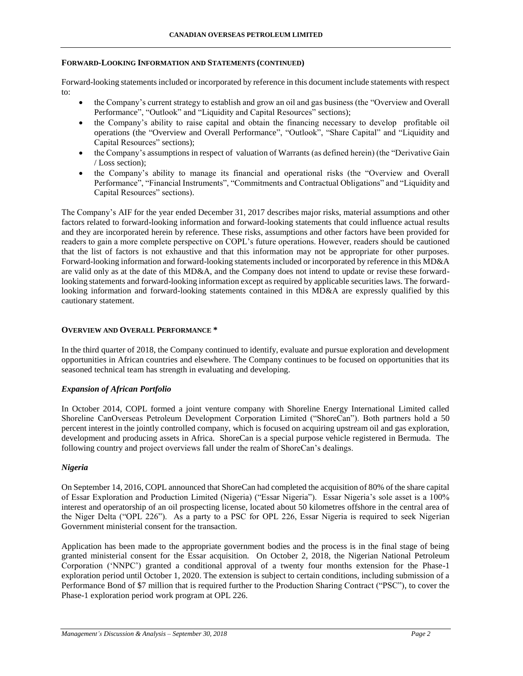### **FORWARD-LOOKING INFORMATION AND STATEMENTS (CONTINUED)**

Forward-looking statements included or incorporated by reference in this document include statements with respect to:

- the Company's current strategy to establish and grow an oil and gas business (the "Overview and Overall Performance", "Outlook" and "Liquidity and Capital Resources" sections);
- the Company's ability to raise capital and obtain the financing necessary to develop profitable oil operations (the "Overview and Overall Performance", "Outlook", "Share Capital" and "Liquidity and Capital Resources" sections);
- the Company's assumptions in respect of valuation of Warrants (as defined herein) (the "Derivative Gain / Loss section);
- the Company's ability to manage its financial and operational risks (the "Overview and Overall Performance", "Financial Instruments", "Commitments and Contractual Obligations" and "Liquidity and Capital Resources" sections).

The Company's AIF for the year ended December 31, 2017 describes major risks, material assumptions and other factors related to forward-looking information and forward-looking statements that could influence actual results and they are incorporated herein by reference. These risks, assumptions and other factors have been provided for readers to gain a more complete perspective on COPL's future operations. However, readers should be cautioned that the list of factors is not exhaustive and that this information may not be appropriate for other purposes. Forward-looking information and forward-looking statements included or incorporated by reference in this MD&A are valid only as at the date of this MD&A, and the Company does not intend to update or revise these forwardlooking statements and forward-looking information except as required by applicable securities laws. The forwardlooking information and forward-looking statements contained in this MD&A are expressly qualified by this cautionary statement.

### **OVERVIEW AND OVERALL PERFORMANCE \***

In the third quarter of 2018, the Company continued to identify, evaluate and pursue exploration and development opportunities in African countries and elsewhere. The Company continues to be focused on opportunities that its seasoned technical team has strength in evaluating and developing.

### *Expansion of African Portfolio*

In October 2014, COPL formed a joint venture company with Shoreline Energy International Limited called Shoreline CanOverseas Petroleum Development Corporation Limited ("ShoreCan"). Both partners hold a 50 percent interest in the jointly controlled company, which is focused on acquiring upstream oil and gas exploration, development and producing assets in Africa. ShoreCan is a special purpose vehicle registered in Bermuda. The following country and project overviews fall under the realm of ShoreCan's dealings.

### *Nigeria*

On September 14, 2016, COPL announced that ShoreCan had completed the acquisition of 80% of the share capital of Essar Exploration and Production Limited (Nigeria) ("Essar Nigeria"). Essar Nigeria's sole asset is a 100% interest and operatorship of an oil prospecting license, located about 50 kilometres offshore in the central area of the Niger Delta ("OPL 226"). As a party to a PSC for OPL 226, Essar Nigeria is required to seek Nigerian Government ministerial consent for the transaction.

Application has been made to the appropriate government bodies and the process is in the final stage of being granted ministerial consent for the Essar acquisition. On October 2, 2018, the Nigerian National Petroleum Corporation ('NNPC') granted a conditional approval of a twenty four months extension for the Phase-1 exploration period until October 1, 2020. The extension is subject to certain conditions, including submission of a Performance Bond of \$7 million that is required further to the Production Sharing Contract ("PSC"), to cover the Phase-1 exploration period work program at OPL 226.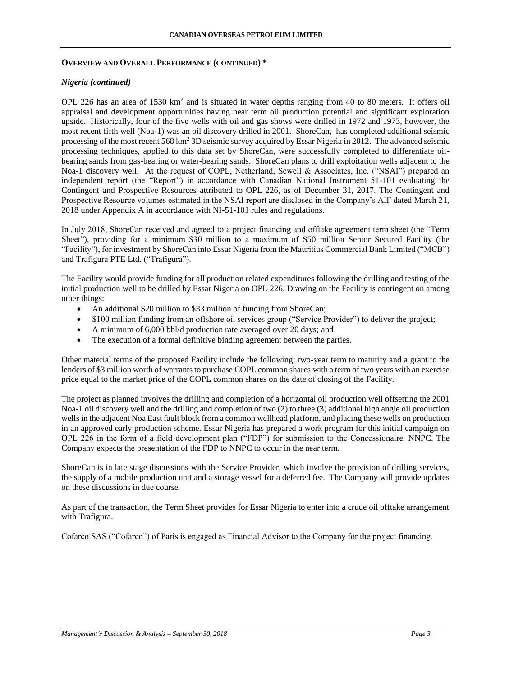### **OVERVIEW AND OVERALL PERFORMANCE (CONTINUED) \***

### *Nigeria (continued)*

OPL 226 has an area of 1530 km<sup>2</sup> and is situated in water depths ranging from 40 to 80 meters. It offers oil appraisal and development opportunities having near term oil production potential and significant exploration upside. Historically, four of the five wells with oil and gas shows were drilled in 1972 and 1973, however, the most recent fifth well (Noa-1) was an oil discovery drilled in 2001. ShoreCan, has completed additional seismic processing of the most recent 568 km<sup>2</sup> 3D seismic survey acquired by Essar Nigeria in 2012. The advanced seismic processing techniques, applied to this data set by ShoreCan, were successfully completed to differentiate oilbearing sands from gas-bearing or water-bearing sands. ShoreCan plans to drill exploitation wells adjacent to the Noa-1 discovery well. At the request of COPL, Netherland, Sewell & Associates, Inc. ("NSAI") prepared an independent report (the "Report") in accordance with Canadian National Instrument 51-101 evaluating the Contingent and Prospective Resources attributed to OPL 226, as of December 31, 2017. The Contingent and Prospective Resource volumes estimated in the NSAI report are disclosed in the Company's AIF dated March 21, 2018 under Appendix A in accordance with NI-51-101 rules and regulations.

In July 2018, ShoreCan received and agreed to a project financing and offtake agreement term sheet (the "Term Sheet"), providing for a minimum \$30 million to a maximum of \$50 million Senior Secured Facility (the "Facility"), for investment by ShoreCan into Essar Nigeria from the Mauritius Commercial Bank Limited ("MCB") and Trafigura PTE Ltd. ("Trafigura").

The Facility would provide funding for all production related expenditures following the drilling and testing of the initial production well to be drilled by Essar Nigeria on OPL 226. Drawing on the Facility is contingent on among other things:

- An additional \$20 million to \$33 million of funding from ShoreCan;
- \$100 million funding from an offshore oil services group ("Service Provider") to deliver the project;
- A minimum of 6,000 bbl/d production rate averaged over 20 days; and
- The execution of a formal definitive binding agreement between the parties.

Other material terms of the proposed Facility include the following: two-year term to maturity and a grant to the lenders of \$3 million worth of warrants to purchase COPL common shares with a term of two years with an exercise price equal to the market price of the COPL common shares on the date of closing of the Facility.

The project as planned involves the drilling and completion of a horizontal oil production well offsetting the 2001 Noa-1 oil discovery well and the drilling and completion of two (2) to three (3) additional high angle oil production wells in the adjacent Noa East fault block from a common wellhead platform, and placing these wells on production in an approved early production scheme. Essar Nigeria has prepared a work program for this initial campaign on OPL 226 in the form of a field development plan ("FDP") for submission to the Concessionaire, NNPC. The Company expects the presentation of the FDP to NNPC to occur in the near term.

ShoreCan is in late stage discussions with the Service Provider, which involve the provision of drilling services, the supply of a mobile production unit and a storage vessel for a deferred fee. The Company will provide updates on these discussions in due course.

As part of the transaction, the Term Sheet provides for Essar Nigeria to enter into a crude oil offtake arrangement with Trafigura.

Cofarco SAS ("Cofarco") of Paris is engaged as Financial Advisor to the Company for the project financing.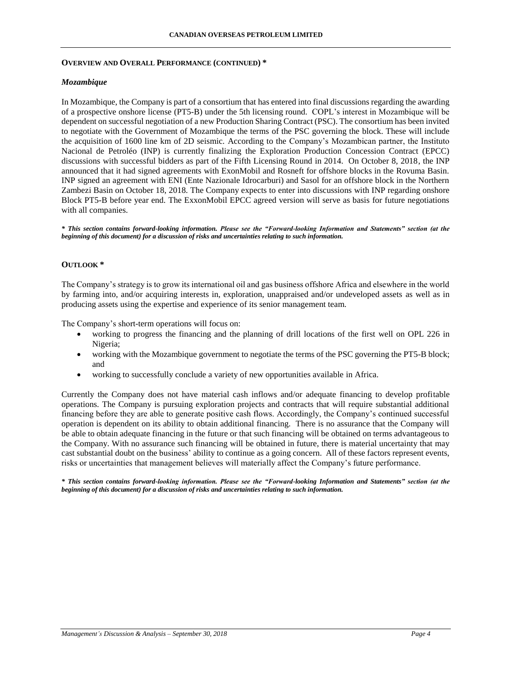#### **CANADIAN OVERSEAS PETROLEUM LIMITED**

#### **OVERVIEW AND OVERALL PERFORMANCE (CONTINUED) \***

## *Mozambique*

In Mozambique, the Company is part of a consortium that has entered into final discussions regarding the awarding of a prospective onshore license (PT5-B) under the 5th licensing round. COPL's interest in Mozambique will be dependent on successful negotiation of a new Production Sharing Contract (PSC). The consortium has been invited to negotiate with the Government of Mozambique the terms of the PSC governing the block. These will include the acquisition of 1600 line km of 2D seismic. According to the Company's Mozambican partner, the Instituto Nacional de Petroléo (INP) is currently finalizing the Exploration Production Concession Contract (EPCC) discussions with successful bidders as part of the Fifth Licensing Round in 2014. On October 8, 2018, the INP announced that it had signed agreements with ExonMobil and Rosneft for offshore blocks in the Rovuma Basin. INP signed an agreement with ENI (Ente Nazionale Idrocarburi) and Sasol for an offshore block in the Northern Zambezi Basin on October 18, 2018. The Company expects to enter into discussions with INP regarding onshore Block PT5-B before year end. The ExxonMobil EPCC agreed version will serve as basis for future negotiations with all companies.

*\* This section contains forward-looking information. Please see the "Forward-looking Information and Statements" section (at the beginning of this document) for a discussion of risks and uncertainties relating to such information.*

### **OUTLOOK \***

The Company's strategy is to grow its international oil and gas business offshore Africa and elsewhere in the world by farming into, and/or acquiring interests in, exploration, unappraised and/or undeveloped assets as well as in producing assets using the expertise and experience of its senior management team.

The Company's short-term operations will focus on:

- working to progress the financing and the planning of drill locations of the first well on OPL 226 in Nigeria;
- working with the Mozambique government to negotiate the terms of the PSC governing the PT5-B block; and
- working to successfully conclude a variety of new opportunities available in Africa.

Currently the Company does not have material cash inflows and/or adequate financing to develop profitable operations. The Company is pursuing exploration projects and contracts that will require substantial additional financing before they are able to generate positive cash flows. Accordingly, the Company's continued successful operation is dependent on its ability to obtain additional financing. There is no assurance that the Company will be able to obtain adequate financing in the future or that such financing will be obtained on terms advantageous to the Company. With no assurance such financing will be obtained in future, there is material uncertainty that may cast substantial doubt on the business' ability to continue as a going concern. All of these factors represent events, risks or uncertainties that management believes will materially affect the Company's future performance.

*\* This section contains forward-looking information. Please see the "Forward-looking Information and Statements" section (at the beginning of this document) for a discussion of risks and uncertainties relating to such information.*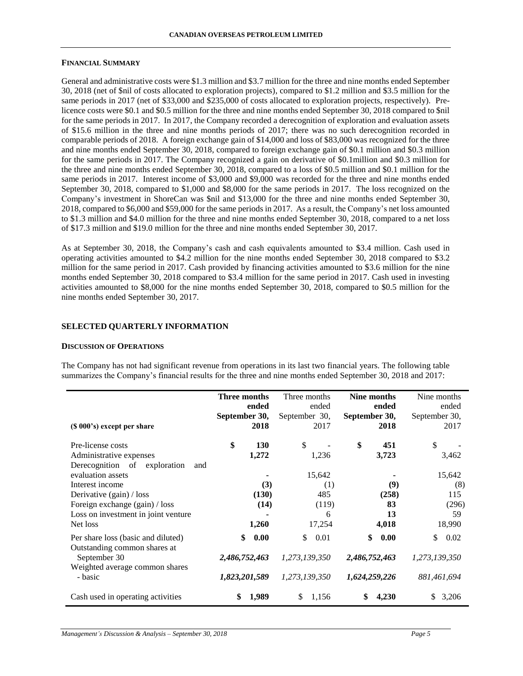#### **FINANCIAL SUMMARY**

General and administrative costs were \$1.3 million and \$3.7 million for the three and nine months ended September 30, 2018 (net of \$nil of costs allocated to exploration projects), compared to \$1.2 million and \$3.5 million for the same periods in 2017 (net of \$33,000 and \$235,000 of costs allocated to exploration projects, respectively). Prelicence costs were \$0.1 and \$0.5 million for the three and nine months ended September 30, 2018 compared to \$nil for the same periods in 2017. In 2017, the Company recorded a derecognition of exploration and evaluation assets of \$15.6 million in the three and nine months periods of 2017; there was no such derecognition recorded in comparable periods of 2018. A foreign exchange gain of \$14,000 and loss of \$83,000 was recognized for the three and nine months ended September 30, 2018, compared to foreign exchange gain of \$0.1 million and \$0.3 million for the same periods in 2017. The Company recognized a gain on derivative of \$0.1million and \$0.3 million for the three and nine months ended September 30, 2018, compared to a loss of \$0.5 million and \$0.1 million for the same periods in 2017. Interest income of \$3,000 and \$9,000 was recorded for the three and nine months ended September 30, 2018, compared to \$1,000 and \$8,000 for the same periods in 2017. The loss recognized on the Company's investment in ShoreCan was \$nil and \$13,000 for the three and nine months ended September 30, 2018, compared to \$6,000 and \$59,000 for the same periods in 2017. As a result, the Company's net loss amounted to \$1.3 million and \$4.0 million for the three and nine months ended September 30, 2018, compared to a net loss of \$17.3 million and \$19.0 million for the three and nine months ended September 30, 2017.

As at September 30, 2018, the Company's cash and cash equivalents amounted to \$3.4 million. Cash used in operating activities amounted to \$4.2 million for the nine months ended September 30, 2018 compared to \$3.2 million for the same period in 2017. Cash provided by financing activities amounted to \$3.6 million for the nine months ended September 30, 2018 compared to \$3.4 million for the same period in 2017. Cash used in investing activities amounted to \$8,000 for the nine months ended September 30, 2018, compared to \$0.5 million for the nine months ended September 30, 2017.

### **SELECTED QUARTERLY INFORMATION**

#### **DISCUSSION OF OPERATIONS**

The Company has not had significant revenue from operations in its last two financial years. The following table summarizes the Company's financial results for the three and nine months ended September 30, 2018 and 2017:

| (\$\\ 000\, 000\, 000\, 000\, 0.00\, 0.00\, 0.00\, 0.00\, 0.00\, 0.00\, 0.00\, 0.00\, 0.00\, 0.00\, 0.00\, 0.00                           | Three months<br>September 30,        | ended<br>2018        | Three months<br>ended<br>September 30,<br>2017 | September 30,                        | Nine months<br>ended<br>2018 | Nine months<br>ended<br>September 30,<br>2017 |
|-------------------------------------------------------------------------------------------------------------------------------------------|--------------------------------------|----------------------|------------------------------------------------|--------------------------------------|------------------------------|-----------------------------------------------|
| Pre-license costs<br>Administrative expenses<br>Derecognition of exploration<br>and                                                       | \$                                   | <b>130</b><br>1,272  | \$<br>1,236                                    | \$                                   | 451<br>3,723                 | \$<br>3,462                                   |
| evaluation assets<br>Interest income<br>Derivative (gain) / loss<br>Foreign exchange (gain) / loss<br>Loss on investment in joint venture |                                      | (3)<br>(130)<br>(14) | 15,642<br>(1)<br>485<br>(119)<br>6             |                                      | (9)<br>(258)<br>83<br>13     | 15,642<br>(8)<br>115<br>(296)<br>59           |
| Net loss                                                                                                                                  |                                      | 1,260                | 17,254                                         |                                      | 4,018                        | 18,990                                        |
| Per share loss (basic and diluted)<br>Outstanding common shares at<br>September 30<br>Weighted average common shares<br>- basic           | \$<br>2,486,752,463<br>1,823,201,589 | 0.00                 | \$<br>0.01<br>1,273,139,350<br>1,273,139,350   | \$<br>2,486,752,463<br>1,624,259,226 | 0.00                         | \$<br>0.02<br>1,273,139,350<br>881,461,694    |
| Cash used in operating activities                                                                                                         | \$                                   | 1,989                | S<br>1,156                                     | \$                                   | 4,230                        | 3,206<br>S                                    |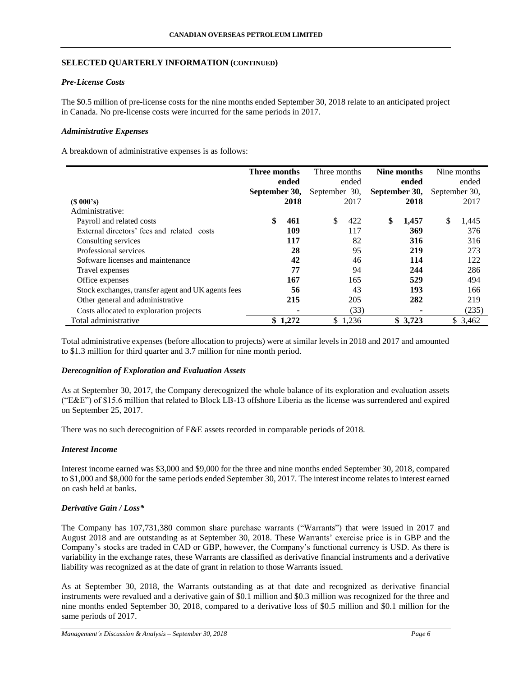# **SELECTED QUARTERLY INFORMATION (CONTINUED)**

# *Pre-License Costs*

The \$0.5 million of pre-license costs for the nine months ended September 30, 2018 relate to an anticipated project in Canada. No pre-license costs were incurred for the same periods in 2017.

# *Administrative Expenses*

A breakdown of administrative expenses is as follows:

|                                                    | Three months  |         | Three months  |         | Nine months   |         |               | Nine months |
|----------------------------------------------------|---------------|---------|---------------|---------|---------------|---------|---------------|-------------|
|                                                    |               | ended   |               | ended   |               | ended   |               | ended       |
|                                                    | September 30, |         | September 30, |         | September 30, |         | September 30, |             |
| $(S\ 000's)$                                       |               | 2018    |               | 2017    |               | 2018    |               | 2017        |
| Administrative:                                    |               |         |               |         |               |         |               |             |
| Payroll and related costs                          | \$            | 461     | \$            | 422     | \$            | 1,457   | \$            | 1,445       |
| External directors' fees and related costs         |               | 109     |               | 117     |               | 369     |               | 376         |
| Consulting services                                |               | 117     |               | 82      |               | 316     |               | 316         |
| Professional services                              |               | 28      |               | 95      |               | 219     |               | 273         |
| Software licenses and maintenance                  |               | 42      |               | 46      |               | 114     |               | 122         |
| Travel expenses                                    |               | 77      |               | 94      |               | 244     |               | 286         |
| Office expenses                                    |               | 167     |               | 165     |               | 529     |               | 494         |
| Stock exchanges, transfer agent and UK agents fees |               | 56      |               | 43      |               | 193     |               | 166         |
| Other general and administrative                   |               | 215     |               | 205     |               | 282     |               | 219         |
| Costs allocated to exploration projects            |               |         |               | (33)    |               |         |               | (235)       |
| Total administrative                               |               | \$1,272 |               | \$1,236 |               | \$3,723 |               | \$3,462     |

Total administrative expenses (before allocation to projects) were at similar levels in 2018 and 2017 and amounted to \$1.3 million for third quarter and 3.7 million for nine month period.

# *Derecognition of Exploration and Evaluation Assets*

As at September 30, 2017, the Company derecognized the whole balance of its exploration and evaluation assets ("E&E") of \$15.6 million that related to Block LB-13 offshore Liberia as the license was surrendered and expired on September 25, 2017.

There was no such derecognition of E&E assets recorded in comparable periods of 2018.

# *Interest Income*

Interest income earned was \$3,000 and \$9,000 for the three and nine months ended September 30, 2018, compared to \$1,000 and \$8,000 for the same periods ended September 30, 2017. The interest income relates to interest earned on cash held at banks.

# *Derivative Gain / Loss\**

The Company has 107,731,380 common share purchase warrants ("Warrants") that were issued in 2017 and August 2018 and are outstanding as at September 30, 2018. These Warrants' exercise price is in GBP and the Company's stocks are traded in CAD or GBP, however, the Company's functional currency is USD. As there is variability in the exchange rates, these Warrants are classified as derivative financial instruments and a derivative liability was recognized as at the date of grant in relation to those Warrants issued.

As at September 30, 2018, the Warrants outstanding as at that date and recognized as derivative financial instruments were revalued and a derivative gain of \$0.1 million and \$0.3 million was recognized for the three and nine months ended September 30, 2018, compared to a derivative loss of \$0.5 million and \$0.1 million for the same periods of 2017.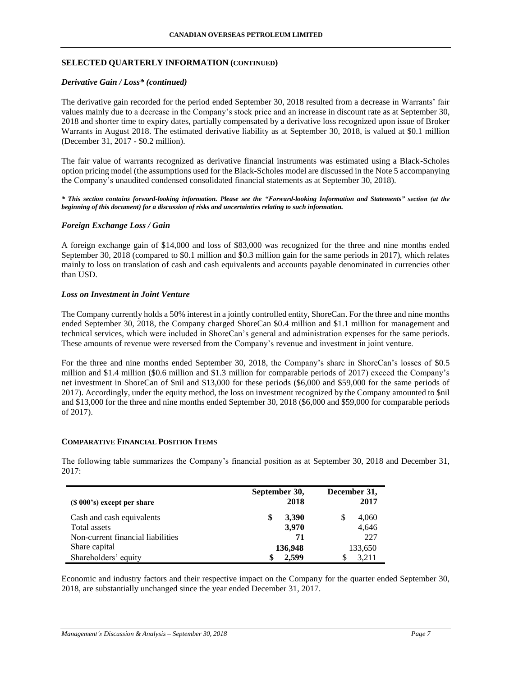# **SELECTED QUARTERLY INFORMATION (CONTINUED)**

### *Derivative Gain / Loss\* (continued)*

The derivative gain recorded for the period ended September 30, 2018 resulted from a decrease in Warrants' fair values mainly due to a decrease in the Company's stock price and an increase in discount rate as at September 30, 2018 and shorter time to expiry dates, partially compensated by a derivative loss recognized upon issue of Broker Warrants in August 2018. The estimated derivative liability as at September 30, 2018, is valued at \$0.1 million (December 31, 2017 - \$0.2 million).

The fair value of warrants recognized as derivative financial instruments was estimated using a Black-Scholes option pricing model (the assumptions used for the Black-Scholes model are discussed in the Note 5 accompanying the Company's unaudited condensed consolidated financial statements as at September 30, 2018).

*\* This section contains forward-looking information. Please see the "Forward-looking Information and Statements" section (at the beginning of this document) for a discussion of risks and uncertainties relating to such information.*

### *Foreign Exchange Loss / Gain*

A foreign exchange gain of \$14,000 and loss of \$83,000 was recognized for the three and nine months ended September 30, 2018 (compared to \$0.1 million and \$0.3 million gain for the same periods in 2017), which relates mainly to loss on translation of cash and cash equivalents and accounts payable denominated in currencies other than USD.

### *Loss on Investment in Joint Venture*

The Company currently holds a 50% interest in a jointly controlled entity, ShoreCan. For the three and nine months ended September 30, 2018, the Company charged ShoreCan \$0.4 million and \$1.1 million for management and technical services, which were included in ShoreCan's general and administration expenses for the same periods. These amounts of revenue were reversed from the Company's revenue and investment in joint venture.

For the three and nine months ended September 30, 2018, the Company's share in ShoreCan's losses of \$0.5 million and \$1.4 million (\$0.6 million and \$1.3 million for comparable periods of 2017) exceed the Company's net investment in ShoreCan of \$nil and \$13,000 for these periods (\$6,000 and \$59,000 for the same periods of 2017). Accordingly, under the equity method, the loss on investment recognized by the Company amounted to \$nil and \$13,000 for the three and nine months ended September 30, 2018 (\$6,000 and \$59,000 for comparable periods of 2017).

### **COMPARATIVE FINANCIAL POSITION ITEMS**

The following table summarizes the Company's financial position as at September 30, 2018 and December 31, 2017:

| $(S 000's)$ except per share      | September 30,<br>2018 | December 31,<br>2017 |
|-----------------------------------|-----------------------|----------------------|
| Cash and cash equivalents         | 3,390<br>\$           | 4,060                |
| Total assets                      | 3,970                 | 4,646                |
| Non-current financial liabilities | 71                    | 227                  |
| Share capital                     | 136,948               | 133,650              |
| Shareholders' equity              | 2,599                 | 3.211                |

Economic and industry factors and their respective impact on the Company for the quarter ended September 30, 2018, are substantially unchanged since the year ended December 31, 2017.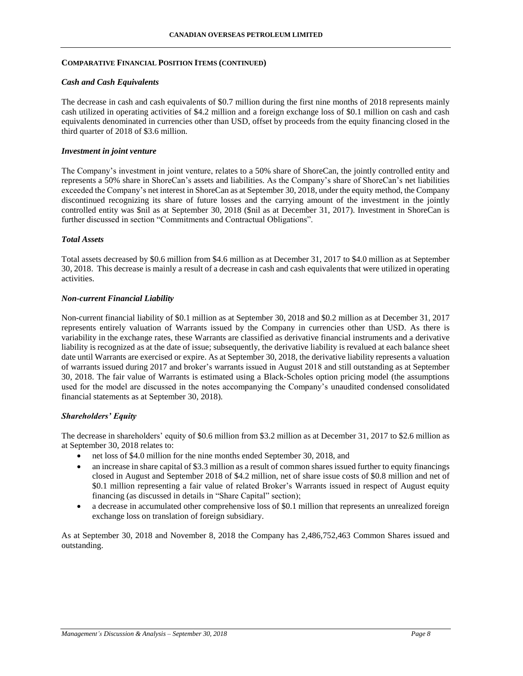#### **COMPARATIVE FINANCIAL POSITION ITEMS (CONTINUED)**

#### *Cash and Cash Equivalents*

The decrease in cash and cash equivalents of \$0.7 million during the first nine months of 2018 represents mainly cash utilized in operating activities of \$4.2 million and a foreign exchange loss of \$0.1 million on cash and cash equivalents denominated in currencies other than USD, offset by proceeds from the equity financing closed in the third quarter of 2018 of \$3.6 million.

#### *Investment in joint venture*

The Company's investment in joint venture, relates to a 50% share of ShoreCan, the jointly controlled entity and represents a 50% share in ShoreCan's assets and liabilities. As the Company's share of ShoreCan's net liabilities exceeded the Company's net interest in ShoreCan as at September 30, 2018, under the equity method, the Company discontinued recognizing its share of future losses and the carrying amount of the investment in the jointly controlled entity was \$nil as at September 30, 2018 (\$nil as at December 31, 2017). Investment in ShoreCan is further discussed in section "Commitments and Contractual Obligations".

### *Total Assets*

Total assets decreased by \$0.6 million from \$4.6 million as at December 31, 2017 to \$4.0 million as at September 30, 2018. This decrease is mainly a result of a decrease in cash and cash equivalents that were utilized in operating activities.

#### *Non-current Financial Liability*

Non-current financial liability of \$0.1 million as at September 30, 2018 and \$0.2 million as at December 31, 2017 represents entirely valuation of Warrants issued by the Company in currencies other than USD. As there is variability in the exchange rates, these Warrants are classified as derivative financial instruments and a derivative liability is recognized as at the date of issue; subsequently, the derivative liability is revalued at each balance sheet date until Warrants are exercised or expire. As at September 30, 2018, the derivative liability represents a valuation of warrants issued during 2017 and broker's warrants issued in August 2018 and still outstanding as at September 30, 2018. The fair value of Warrants is estimated using a Black-Scholes option pricing model (the assumptions used for the model are discussed in the notes accompanying the Company's unaudited condensed consolidated financial statements as at September 30, 2018).

### *Shareholders' Equity*

The decrease in shareholders' equity of \$0.6 million from \$3.2 million as at December 31, 2017 to \$2.6 million as at September 30, 2018 relates to:

- net loss of \$4.0 million for the nine months ended September 30, 2018, and
- an increase in share capital of \$3.3 million as a result of common shares issued further to equity financings closed in August and September 2018 of \$4.2 million, net of share issue costs of \$0.8 million and net of \$0.1 million representing a fair value of related Broker's Warrants issued in respect of August equity financing (as discussed in details in "Share Capital" section);
- a decrease in accumulated other comprehensive loss of \$0.1 million that represents an unrealized foreign exchange loss on translation of foreign subsidiary.

As at September 30, 2018 and November 8, 2018 the Company has 2,486,752,463 Common Shares issued and outstanding.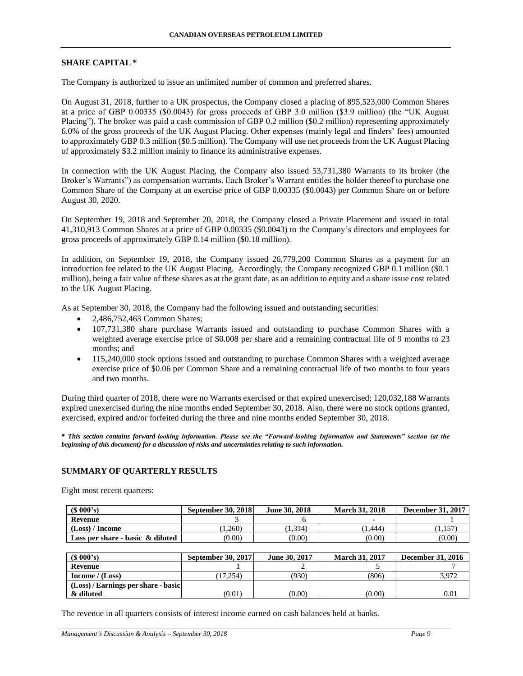#### **SHARE CAPITAL \***

The Company is authorized to issue an unlimited number of common and preferred shares.

On August 31, 2018, further to a UK prospectus, the Company closed a placing of 895,523,000 Common Shares at a price of GBP 0.00335 (\$0.0043) for gross proceeds of GBP 3.0 million (\$3.9 million) (the "UK August Placing"). The broker was paid a cash commission of GBP 0.2 million (\$0.2 million) representing approximately 6.0% of the gross proceeds of the UK August Placing. Other expenses (mainly legal and finders' fees) amounted to approximately GBP 0.3 million (\$0.5 million). The Company will use net proceeds from the UK August Placing of approximately \$3.2 million mainly to finance its administrative expenses.

In connection with the UK August Placing, the Company also issued 53,731,380 Warrants to its broker (the Broker's Warrants") as compensation warrants. Each Broker's Warrant entitles the holder thereof to purchase one Common Share of the Company at an exercise price of GBP 0.00335 (\$0.0043) per Common Share on or before August 30, 2020.

On September 19, 2018 and September 20, 2018, the Company closed a Private Placement and issued in total 41,310,913 Common Shares at a price of GBP 0.00335 (\$0.0043) to the Company's directors and employees for gross proceeds of approximately GBP 0.14 million (\$0.18 million).

In addition, on September 19, 2018, the Company issued 26,779,200 Common Shares as a payment for an introduction fee related to the UK August Placing. Accordingly, the Company recognized GBP 0.1 million (\$0.1 million), being a fair value of these shares as at the grant date, as an addition to equity and a share issue cost related to the UK August Placing.

As at September 30, 2018, the Company had the following issued and outstanding securities:

- 2,486,752,463 Common Shares;
- 107,731,380 share purchase Warrants issued and outstanding to purchase Common Shares with a weighted average exercise price of \$0.008 per share and a remaining contractual life of 9 months to 23 months; and
- 115,240,000 stock options issued and outstanding to purchase Common Shares with a weighted average exercise price of \$0.06 per Common Share and a remaining contractual life of two months to four years and two months.

During third quarter of 2018, there were no Warrants exercised or that expired unexercised; 120,032,188 Warrants expired unexercised during the nine months ended September 30, 2018. Also, there were no stock options granted, exercised, expired and/or forfeited during the three and nine months ended September 30, 2018.

*\* This section contains forward-looking information. Please see the "Forward-looking Information and Statements" section (at the beginning of this document) for a discussion of risks and uncertainties relating to such information.*

#### **SUMMARY OF QUARTERLY RESULTS**

Eight most recent quarters:

| (S 000's)                           | <b>September 30, 2018</b> | June 30, 2018 | <b>March 31, 2018</b> | December 31, 2017 |
|-------------------------------------|---------------------------|---------------|-----------------------|-------------------|
| Revenue                             |                           |               |                       |                   |
| (Loss) / Income                     | 1.260)                    | .1,314        | 1.444                 | 1.157             |
| Loss per share - basic $\&$ diluted | (0.00)                    | (0.00)        | (0.00)                | (0.00)            |

| (S 000's)                             | <b>September 30, 2017</b> | June 30, 2017 | <b>March 31, 2017</b> | <b>December 31, 2016</b> |
|---------------------------------------|---------------------------|---------------|-----------------------|--------------------------|
| Revenue                               |                           |               |                       |                          |
| Income / $(Loss)$                     | 17.254)                   | (930)         | (806)                 | 3.972                    |
| $(Loss)$ / Earnings per share - basic |                           |               |                       |                          |
| & diluted                             | (0.01)                    | (0.00)        | (0.00)                | $\rm 0.01$               |

The revenue in all quarters consists of interest income earned on cash balances held at banks.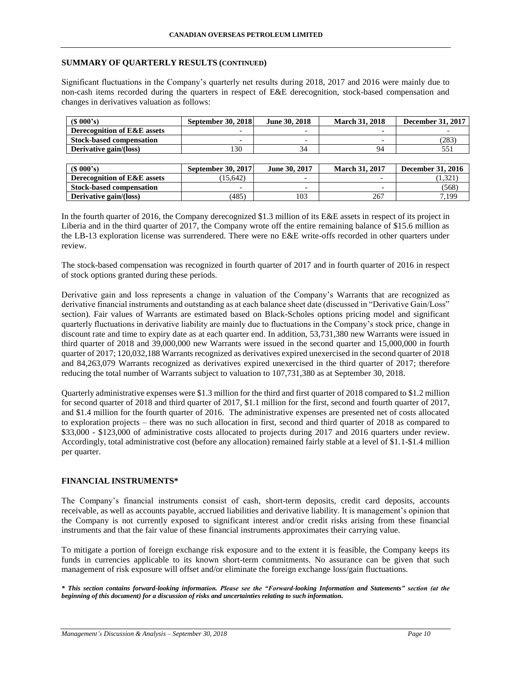### **SUMMARY OF QUARTERLY RESULTS (CONTINUED)**

Significant fluctuations in the Company's quarterly net results during 2018, 2017 and 2016 were mainly due to non-cash items recorded during the quarters in respect of E&E derecognition, stock-based compensation and changes in derivatives valuation as follows:

| (S 000's)                       | <b>September 30, 2018</b> | June 30, 2018            | <b>March 31, 2018</b> | <b>December 31, 2017</b> |
|---------------------------------|---------------------------|--------------------------|-----------------------|--------------------------|
| Derecognition of E&E assets     | $\overline{\phantom{0}}$  | $\overline{\phantom{0}}$ |                       |                          |
| <b>Stock-based compensation</b> | $\overline{\phantom{0}}$  | -                        |                       | (283)                    |
| Derivative gain/(loss)          | 130                       | 34                       | 94                    | 551                      |
|                                 |                           |                          |                       |                          |
| (S 000's)                       | September 30, 2017        | June 30, 2017            | <b>March 31, 2017</b> | <b>December 31, 2016</b> |
| Derecognition of E&E assets     | (15, 642)                 | $\overline{\phantom{0}}$ |                       | (1,321)                  |
| <b>Stock-based compensation</b> | $\overline{\phantom{0}}$  | $\overline{\phantom{0}}$ |                       | (568)                    |
|                                 |                           |                          |                       |                          |

In the fourth quarter of 2016, the Company derecognized \$1.3 million of its E&E assets in respect of its project in Liberia and in the third quarter of 2017, the Company wrote off the entire remaining balance of \$15.6 million as the LB-13 exploration license was surrendered. There were no E&E write-offs recorded in other quarters under review.

The stock-based compensation was recognized in fourth quarter of 2017 and in fourth quarter of 2016 in respect of stock options granted during these periods.

Derivative gain and loss represents a change in valuation of the Company's Warrants that are recognized as derivative financial instruments and outstanding as at each balance sheet date (discussed in "Derivative Gain/Loss" section). Fair values of Warrants are estimated based on Black-Scholes options pricing model and significant quarterly fluctuations in derivative liability are mainly due to fluctuations in the Company's stock price, change in discount rate and time to expiry date as at each quarter end. In addition, 53,731,380 new Warrants were issued in third quarter of 2018 and 39,000,000 new Warrants were issued in the second quarter and 15,000,000 in fourth quarter of 2017; 120,032,188 Warrants recognized as derivatives expired unexercised in the second quarter of 2018 and 84,263,079 Warrants recognized as derivatives expired unexercised in the third quarter of 2017; therefore reducing the total number of Warrants subject to valuation to 107,731,380 as at September 30, 2018.

Quarterly administrative expenses were \$1.3 million for the third and first quarter of 2018 compared to \$1.2 million for second quarter of 2018 and third quarter of 2017, \$1.1 million for the first, second and fourth quarter of 2017, and \$1.4 million for the fourth quarter of 2016. The administrative expenses are presented net of costs allocated to exploration projects – there was no such allocation in first, second and third quarter of 2018 as compared to \$33,000 - \$123,000 of administrative costs allocated to projects during 2017 and 2016 quarters under review. Accordingly, total administrative cost (before any allocation) remained fairly stable at a level of \$1.1-\$1.4 million per quarter.

# **FINANCIAL INSTRUMENTS\***

The Company's financial instruments consist of cash, short-term deposits, credit card deposits, accounts receivable, as well as accounts payable, accrued liabilities and derivative liability. It is management's opinion that the Company is not currently exposed to significant interest and/or credit risks arising from these financial instruments and that the fair value of these financial instruments approximates their carrying value.

To mitigate a portion of foreign exchange risk exposure and to the extent it is feasible, the Company keeps its funds in currencies applicable to its known short-term commitments. No assurance can be given that such management of risk exposure will offset and/or eliminate the foreign exchange loss/gain fluctuations.

*\* This section contains forward-looking information. Please see the "Forward-looking Information and Statements" section (at the beginning of this document) for a discussion of risks and uncertainties relating to such information.*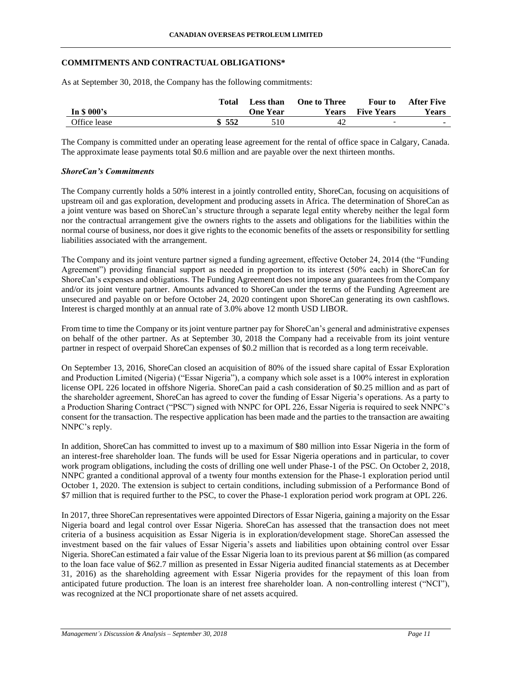## **COMMITMENTS AND CONTRACTUAL OBLIGATIONS\***

As at September 30, 2018, the Company has the following commitments:

|              | Total | <b>Less than</b> | <b>One to Three</b> | Four to                  | After Five   |
|--------------|-------|------------------|---------------------|--------------------------|--------------|
| In \$ 000's  |       | <b>One Year</b>  | Years               | <b>Five Years</b>        | <b>Years</b> |
| Office lease | \$552 | 510              | 42                  | $\overline{\phantom{0}}$ | <b>COL</b>   |

The Company is committed under an operating lease agreement for the rental of office space in Calgary, Canada. The approximate lease payments total \$0.6 million and are payable over the next thirteen months.

### *ShoreCan's Commitments*

The Company currently holds a 50% interest in a jointly controlled entity, ShoreCan, focusing on acquisitions of upstream oil and gas exploration, development and producing assets in Africa. The determination of ShoreCan as a joint venture was based on ShoreCan's structure through a separate legal entity whereby neither the legal form nor the contractual arrangement give the owners rights to the assets and obligations for the liabilities within the normal course of business, nor does it give rights to the economic benefits of the assets or responsibility for settling liabilities associated with the arrangement.

The Company and its joint venture partner signed a funding agreement, effective October 24, 2014 (the "Funding Agreement") providing financial support as needed in proportion to its interest (50% each) in ShoreCan for ShoreCan's expenses and obligations. The Funding Agreement does not impose any guarantees from the Company and/or its joint venture partner. Amounts advanced to ShoreCan under the terms of the Funding Agreement are unsecured and payable on or before October 24, 2020 contingent upon ShoreCan generating its own cashflows. Interest is charged monthly at an annual rate of 3.0% above 12 month USD LIBOR.

From time to time the Company or its joint venture partner pay for ShoreCan's general and administrative expenses on behalf of the other partner. As at September 30, 2018 the Company had a receivable from its joint venture partner in respect of overpaid ShoreCan expenses of \$0.2 million that is recorded as a long term receivable.

On September 13, 2016, ShoreCan closed an acquisition of 80% of the issued share capital of Essar Exploration and Production Limited (Nigeria) ("Essar Nigeria"), a company which sole asset is a 100% interest in exploration license OPL 226 located in offshore Nigeria. ShoreCan paid a cash consideration of \$0.25 million and as part of the shareholder agreement, ShoreCan has agreed to cover the funding of Essar Nigeria's operations. As a party to a Production Sharing Contract ("PSC") signed with NNPC for OPL 226, Essar Nigeria is required to seek NNPC's consent for the transaction. The respective application has been made and the parties to the transaction are awaiting NNPC's reply.

In addition, ShoreCan has committed to invest up to a maximum of \$80 million into Essar Nigeria in the form of an interest-free shareholder loan. The funds will be used for Essar Nigeria operations and in particular, to cover work program obligations, including the costs of drilling one well under Phase-1 of the PSC. On October 2, 2018, NNPC granted a conditional approval of a twenty four months extension for the Phase-1 exploration period until October 1, 2020. The extension is subject to certain conditions, including submission of a Performance Bond of \$7 million that is required further to the PSC, to cover the Phase-1 exploration period work program at OPL 226.

In 2017, three ShoreCan representatives were appointed Directors of Essar Nigeria, gaining a majority on the Essar Nigeria board and legal control over Essar Nigeria. ShoreCan has assessed that the transaction does not meet criteria of a business acquisition as Essar Nigeria is in exploration/development stage. ShoreCan assessed the investment based on the fair values of Essar Nigeria's assets and liabilities upon obtaining control over Essar Nigeria. ShoreCan estimated a fair value of the Essar Nigeria loan to its previous parent at \$6 million (as compared to the loan face value of \$62.7 million as presented in Essar Nigeria audited financial statements as at December 31, 2016) as the shareholding agreement with Essar Nigeria provides for the repayment of this loan from anticipated future production. The loan is an interest free shareholder loan. A non-controlling interest ("NCI"), was recognized at the NCI proportionate share of net assets acquired.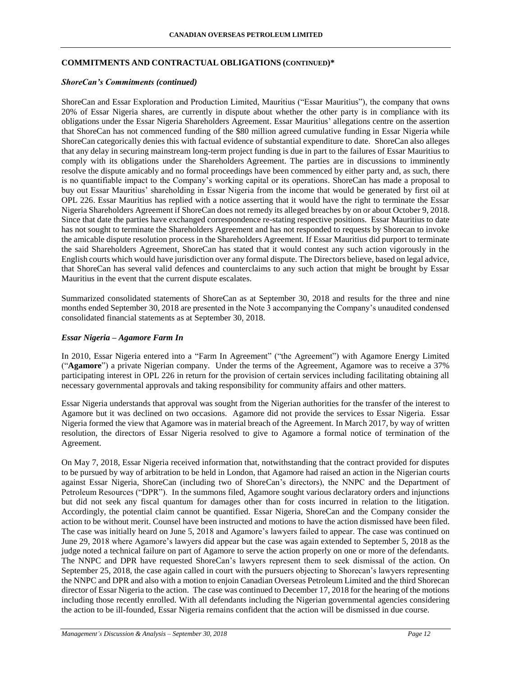### **COMMITMENTS AND CONTRACTUAL OBLIGATIONS (CONTINUED)\***

#### *ShoreCan's Commitments (continued)*

ShoreCan and Essar Exploration and Production Limited, Mauritius ("Essar Mauritius"), the company that owns 20% of Essar Nigeria shares, are currently in dispute about whether the other party is in compliance with its obligations under the Essar Nigeria Shareholders Agreement. Essar Mauritius' allegations centre on the assertion that ShoreCan has not commenced funding of the \$80 million agreed cumulative funding in Essar Nigeria while ShoreCan categorically denies this with factual evidence of substantial expenditure to date. ShoreCan also alleges that any delay in securing mainstream long-term project funding is due in part to the failures of Essar Mauritius to comply with its obligations under the Shareholders Agreement. The parties are in discussions to imminently resolve the dispute amicably and no formal proceedings have been commenced by either party and, as such, there is no quantifiable impact to the Company's working capital or its operations. ShoreCan has made a proposal to buy out Essar Mauritius' shareholding in Essar Nigeria from the income that would be generated by first oil at OPL 226. Essar Mauritius has replied with a notice asserting that it would have the right to terminate the Essar Nigeria Shareholders Agreement if ShoreCan does not remedy its alleged breaches by on or about October 9, 2018. Since that date the parties have exchanged correspondence re-stating respective positions. Essar Mauritius to date has not sought to terminate the Shareholders Agreement and has not responded to requests by Shorecan to invoke the amicable dispute resolution process in the Shareholders Agreement. If Essar Mauritius did purport to terminate the said Shareholders Agreement, ShoreCan has stated that it would contest any such action vigorously in the English courts which would have jurisdiction over any formal dispute. The Directors believe, based on legal advice, that ShoreCan has several valid defences and counterclaims to any such action that might be brought by Essar Mauritius in the event that the current dispute escalates.

Summarized consolidated statements of ShoreCan as at September 30, 2018 and results for the three and nine months ended September 30, 2018 are presented in the Note 3 accompanying the Company's unaudited condensed consolidated financial statements as at September 30, 2018.

#### *Essar Nigeria – Agamore Farm In*

In 2010, Essar Nigeria entered into a "Farm In Agreement" ("the Agreement") with Agamore Energy Limited ("**Agamore**") a private Nigerian company. Under the terms of the Agreement, Agamore was to receive a 37% participating interest in OPL 226 in return for the provision of certain services including facilitating obtaining all necessary governmental approvals and taking responsibility for community affairs and other matters.

Essar Nigeria understands that approval was sought from the Nigerian authorities for the transfer of the interest to Agamore but it was declined on two occasions. Agamore did not provide the services to Essar Nigeria. Essar Nigeria formed the view that Agamore was in material breach of the Agreement. In March 2017, by way of written resolution, the directors of Essar Nigeria resolved to give to Agamore a formal notice of termination of the Agreement.

On May 7, 2018, Essar Nigeria received information that, notwithstanding that the contract provided for disputes to be pursued by way of arbitration to be held in London, that Agamore had raised an action in the Nigerian courts against Essar Nigeria, ShoreCan (including two of ShoreCan's directors), the NNPC and the Department of Petroleum Resources ("DPR"). In the summons filed, Agamore sought various declaratory orders and injunctions but did not seek any fiscal quantum for damages other than for costs incurred in relation to the litigation. Accordingly, the potential claim cannot be quantified. Essar Nigeria, ShoreCan and the Company consider the action to be without merit. Counsel have been instructed and motions to have the action dismissed have been filed. The case was initially heard on June 5, 2018 and Agamore's lawyers failed to appear. The case was continued on June 29, 2018 where Agamore's lawyers did appear but the case was again extended to September 5, 2018 as the judge noted a technical failure on part of Agamore to serve the action properly on one or more of the defendants. The NNPC and DPR have requested ShoreCan's lawyers represent them to seek dismissal of the action. On September 25, 2018, the case again called in court with the pursuers objecting to Shorecan's lawyers representing the NNPC and DPR and also with a motion to enjoin Canadian Overseas Petroleum Limited and the third Shorecan director of Essar Nigeria to the action. The case was continued to December 17, 2018 for the hearing of the motions including those recently enrolled. With all defendants including the Nigerian governmental agencies considering the action to be ill-founded, Essar Nigeria remains confident that the action will be dismissed in due course.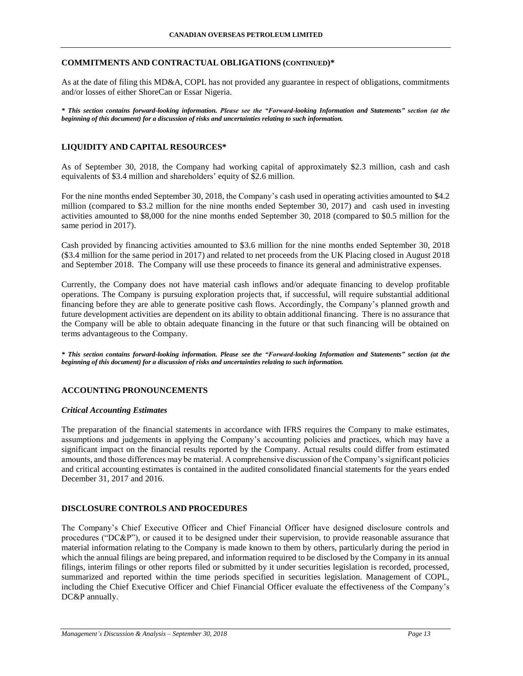### **COMMITMENTS AND CONTRACTUAL OBLIGATIONS (CONTINUED)\***

As at the date of filing this MD&A, COPL has not provided any guarantee in respect of obligations, commitments and/or losses of either ShoreCan or Essar Nigeria.

*\* This section contains forward-looking information. Please see the "Forward-looking Information and Statements" section (at the beginning of this document) for a discussion of risks and uncertainties relating to such information.*

## **LIQUIDITY AND CAPITAL RESOURCES\***

As of September 30, 2018, the Company had working capital of approximately \$2.3 million, cash and cash equivalents of \$3.4 million and shareholders' equity of \$2.6 million.

For the nine months ended September 30, 2018, the Company's cash used in operating activities amounted to \$4.2 million (compared to \$3.2 million for the nine months ended September 30, 2017) and cash used in investing activities amounted to \$8,000 for the nine months ended September 30, 2018 (compared to \$0.5 million for the same period in 2017).

Cash provided by financing activities amounted to \$3.6 million for the nine months ended September 30, 2018 (\$3.4 million for the same period in 2017) and related to net proceeds from the UK Placing closed in August 2018 and September 2018. The Company will use these proceeds to finance its general and administrative expenses.

Currently, the Company does not have material cash inflows and/or adequate financing to develop profitable operations. The Company is pursuing exploration projects that, if successful, will require substantial additional financing before they are able to generate positive cash flows. Accordingly, the Company's planned growth and future development activities are dependent on its ability to obtain additional financing. There is no assurance that the Company will be able to obtain adequate financing in the future or that such financing will be obtained on terms advantageous to the Company.

*\* This section contains forward-looking information. Please see the "Forward-looking Information and Statements" section (at the beginning of this document) for a discussion of risks and uncertainties relating to such information.*

# **ACCOUNTING PRONOUNCEMENTS**

### *Critical Accounting Estimates*

The preparation of the financial statements in accordance with IFRS requires the Company to make estimates, assumptions and judgements in applying the Company's accounting policies and practices, which may have a significant impact on the financial results reported by the Company. Actual results could differ from estimated amounts, and those differences may be material. A comprehensive discussion of the Company's significant policies and critical accounting estimates is contained in the audited consolidated financial statements for the years ended December 31, 2017 and 2016.

## **DISCLOSURE CONTROLS AND PROCEDURES**

The Company's Chief Executive Officer and Chief Financial Officer have designed disclosure controls and procedures ("DC&P"), or caused it to be designed under their supervision, to provide reasonable assurance that material information relating to the Company is made known to them by others, particularly during the period in which the annual filings are being prepared, and information required to be disclosed by the Company in its annual filings, interim filings or other reports filed or submitted by it under securities legislation is recorded, processed, summarized and reported within the time periods specified in securities legislation. Management of COPL, including the Chief Executive Officer and Chief Financial Officer evaluate the effectiveness of the Company's DC&P annually.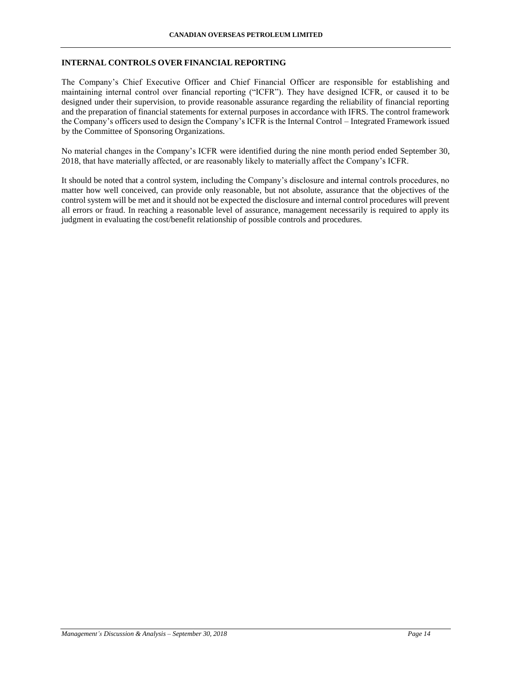## **INTERNAL CONTROLS OVER FINANCIAL REPORTING**

The Company's Chief Executive Officer and Chief Financial Officer are responsible for establishing and maintaining internal control over financial reporting ("ICFR"). They have designed ICFR, or caused it to be designed under their supervision, to provide reasonable assurance regarding the reliability of financial reporting and the preparation of financial statements for external purposes in accordance with IFRS. The control framework the Company's officers used to design the Company's ICFR is the Internal Control – Integrated Framework issued by the Committee of Sponsoring Organizations.

No material changes in the Company's ICFR were identified during the nine month period ended September 30, 2018, that have materially affected, or are reasonably likely to materially affect the Company's ICFR.

It should be noted that a control system, including the Company's disclosure and internal controls procedures, no matter how well conceived, can provide only reasonable, but not absolute, assurance that the objectives of the control system will be met and it should not be expected the disclosure and internal control procedures will prevent all errors or fraud. In reaching a reasonable level of assurance, management necessarily is required to apply its judgment in evaluating the cost/benefit relationship of possible controls and procedures.